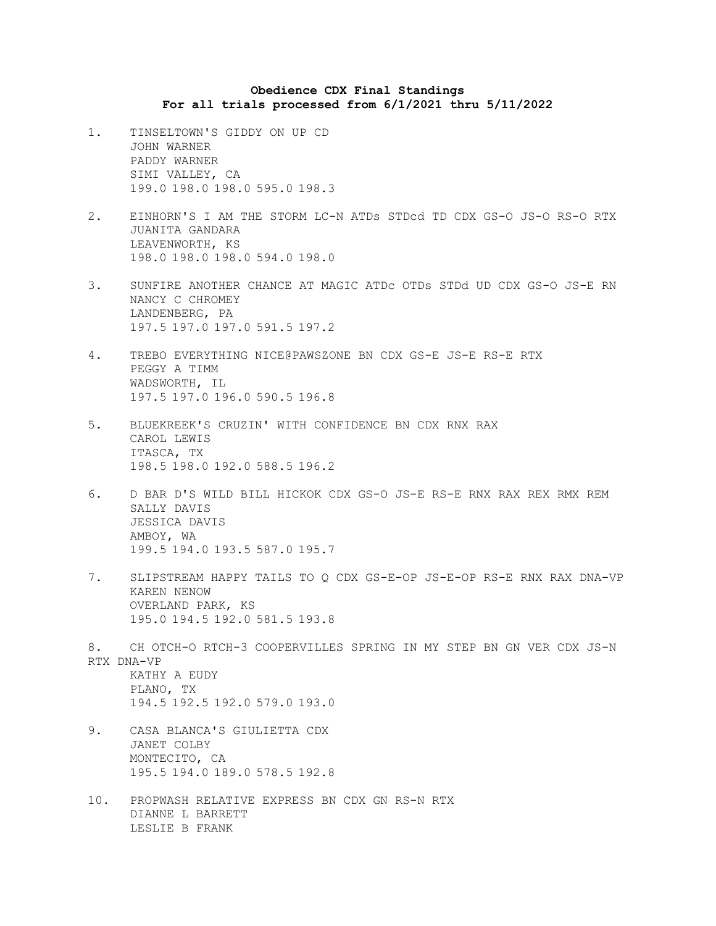## **Obedience CDX Final Standings For all trials processed from 6/1/2021 thru 5/11/2022**

- 1. TINSELTOWN'S GIDDY ON UP CD JOHN WARNER PADDY WARNER SIMI VALLEY, CA 199.0 198.0 198.0 595.0 198.3
- 2. EINHORN'S I AM THE STORM LC-N ATDs STDcd TD CDX GS-O JS-O RS-O RTX JUANITA GANDARA LEAVENWORTH, KS 198.0 198.0 198.0 594.0 198.0
- 3. SUNFIRE ANOTHER CHANCE AT MAGIC ATDc OTDs STDd UD CDX GS-O JS-E RN NANCY C CHROMEY LANDENBERG, PA 197.5 197.0 197.0 591.5 197.2
- 4. TREBO EVERYTHING NICE@PAWSZONE BN CDX GS-E JS-E RS-E RTX PEGGY A TIMM WADSWORTH, IL 197.5 197.0 196.0 590.5 196.8
- 5. BLUEKREEK'S CRUZIN' WITH CONFIDENCE BN CDX RNX RAX CAROL LEWIS ITASCA, TX 198.5 198.0 192.0 588.5 196.2
- 6. D BAR D'S WILD BILL HICKOK CDX GS-O JS-E RS-E RNX RAX REX RMX REM SALLY DAVIS JESSICA DAVIS AMBOY, WA 199.5 194.0 193.5 587.0 195.7
- 7. SLIPSTREAM HAPPY TAILS TO Q CDX GS-E-OP JS-E-OP RS-E RNX RAX DNA-VP KAREN NENOW OVERLAND PARK, KS 195.0 194.5 192.0 581.5 193.8
- 8. CH OTCH-O RTCH-3 COOPERVILLES SPRING IN MY STEP BN GN VER CDX JS-N RTX DNA-VP KATHY A EUDY

PLANO, TX 194.5 192.5 192.0 579.0 193.0

- 9. CASA BLANCA'S GIULIETTA CDX JANET COLBY MONTECITO, CA 195.5 194.0 189.0 578.5 192.8
- 10. PROPWASH RELATIVE EXPRESS BN CDX GN RS-N RTX DIANNE L BARRETT LESLIE B FRANK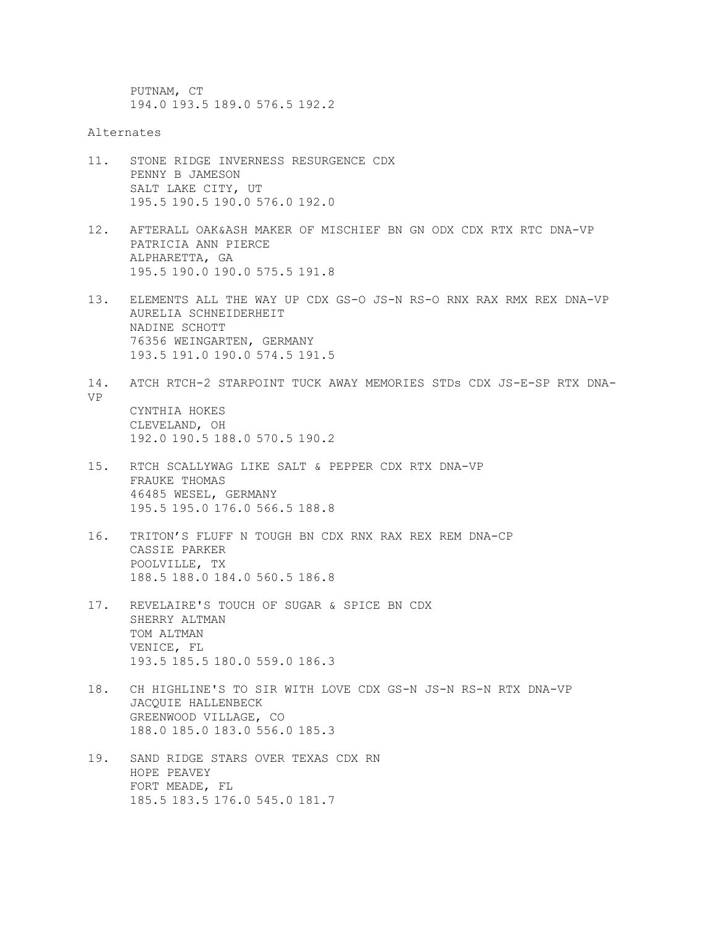PUTNAM, CT 194.0 193.5 189.0 576.5 192.2

Alternates

- 11. STONE RIDGE INVERNESS RESURGENCE CDX PENNY B JAMESON SALT LAKE CITY, UT 195.5 190.5 190.0 576.0 192.0
- 12. AFTERALL OAK&ASH MAKER OF MISCHIEF BN GN ODX CDX RTX RTC DNA-VP PATRICIA ANN PIERCE ALPHARETTA, GA 195.5 190.0 190.0 575.5 191.8
- 13. ELEMENTS ALL THE WAY UP CDX GS-O JS-N RS-O RNX RAX RMX REX DNA-VP AURELIA SCHNEIDERHEIT NADINE SCHOTT 76356 WEINGARTEN, GERMANY 193.5 191.0 190.0 574.5 191.5
- 14. ATCH RTCH-2 STARPOINT TUCK AWAY MEMORIES STDs CDX JS-E-SP RTX DNA-VP CYNTHIA HOKES CLEVELAND, OH 192.0 190.5 188.0 570.5 190.2
- 15. RTCH SCALLYWAG LIKE SALT & PEPPER CDX RTX DNA-VP FRAUKE THOMAS 46485 WESEL, GERMANY 195.5 195.0 176.0 566.5 188.8
- 16. TRITON'S FLUFF N TOUGH BN CDX RNX RAX REX REM DNA-CP CASSIE PARKER POOLVILLE, TX 188.5 188.0 184.0 560.5 186.8
- 17. REVELAIRE'S TOUCH OF SUGAR & SPICE BN CDX SHERRY ALTMAN TOM ALTMAN VENICE, FL 193.5 185.5 180.0 559.0 186.3
- 18. CH HIGHLINE'S TO SIR WITH LOVE CDX GS-N JS-N RS-N RTX DNA-VP JACQUIE HALLENBECK GREENWOOD VILLAGE, CO 188.0 185.0 183.0 556.0 185.3
- 19. SAND RIDGE STARS OVER TEXAS CDX RN HOPE PEAVEY FORT MEADE, FL 185.5 183.5 176.0 545.0 181.7